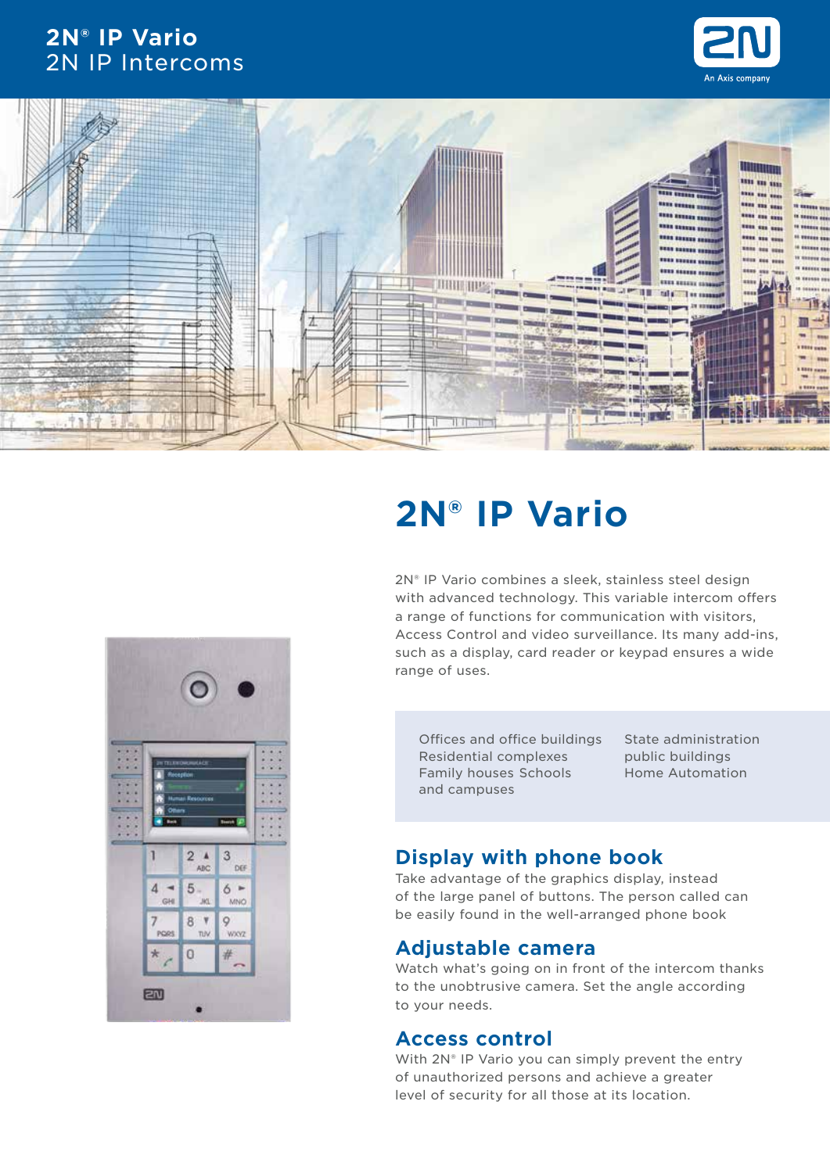# **2N® IP Vario** 2N IP Intercoms







# **2N® IP Vario**

2N® IP Vario combines a sleek, stainless steel design with advanced technology. This variable intercom offers a range of functions for communication with visitors, Access Control and video surveillance. Its many add-ins, such as a display, card reader or keypad ensures a wide range of uses.

Offices and office buildings Residential complexes Family houses Schools and campuses

State administration public buildings Home Automation

# **Display with phone book**

Take advantage of the graphics display, instead of the large panel of buttons. The person called can be easily found in the well-arranged phone book

## **Adjustable camera**

Watch what's going on in front of the intercom thanks to the unobtrusive camera. Set the angle according to your needs.

## **Access control**

With 2N® IP Vario you can simply prevent the entry of unauthorized persons and achieve a greater level of security for all those at its location.